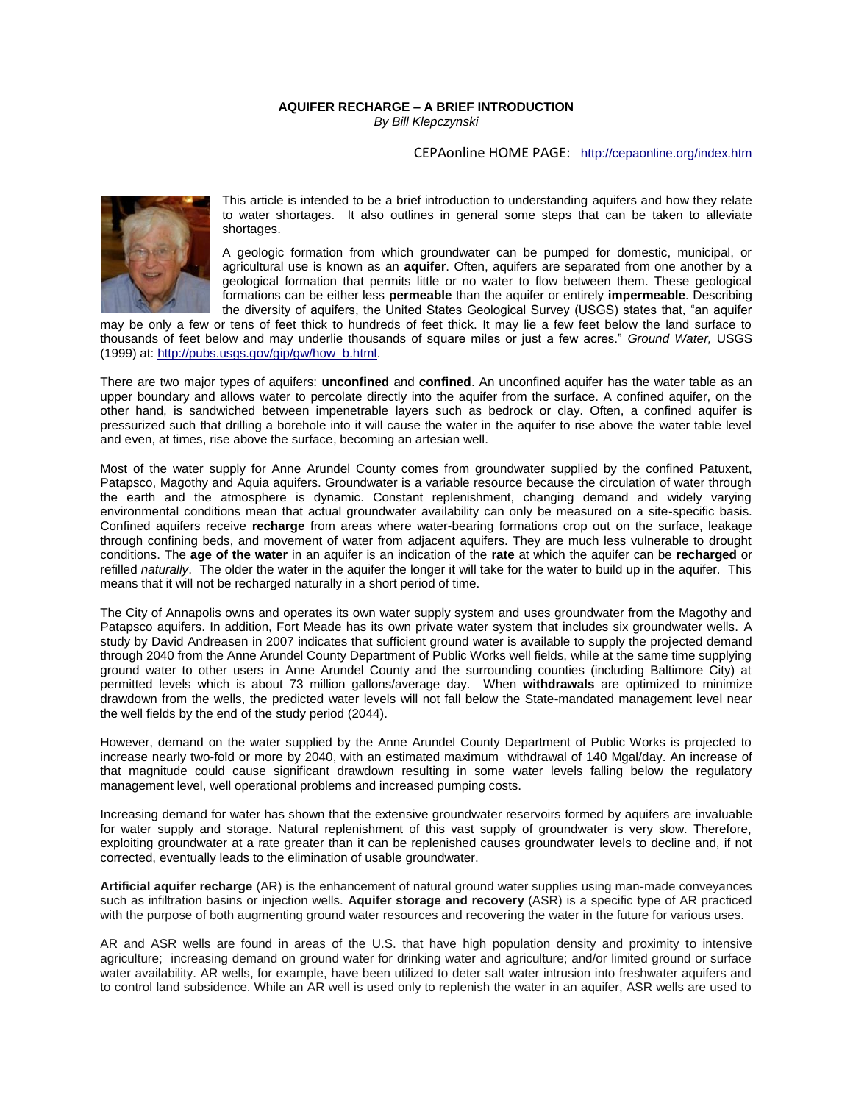## **AQUIFER RECHARGE – A BRIEF INTRODUCTION** *By Bill Klepczynski*

## CEPAonline HOME PAGE: <http://cepaonline.org/index.htm>



This article is intended to be a brief introduction to understanding aquifers and how they relate to water shortages. It also outlines in general some steps that can be taken to alleviate shortages.

A geologic formation from which groundwater can be pumped for domestic, municipal, or agricultural use is known as an **aquifer**. Often, aquifers are separated from one another by a geological formation that permits little or no water to flow between them. These geological formations can be either less **permeable** than the aquifer or entirely **impermeable**. Describing the diversity of aquifers, the United States Geological Survey (USGS) states that, "an aquifer

may be only a few or tens of feet thick to hundreds of feet thick. It may lie a few feet below the land surface to thousands of feet below and may underlie thousands of square miles or just a few acres." *Ground Water,* USGS (1999) at: [http://pubs.usgs.gov/gip/gw/how\\_b.html.](http://pubs.usgs.gov/gip/gw/how_b.html)

There are two major types of aquifers: **unconfined** and **confined**. An unconfined aquifer has the water table as an upper boundary and allows water to percolate directly into the aquifer from the surface. A confined aquifer, on the other hand, is sandwiched between impenetrable layers such as bedrock or clay. Often, a confined aquifer is pressurized such that drilling a borehole into it will cause the water in the aquifer to rise above the water table level and even, at times, rise above the surface, becoming an artesian well.

Most of the water supply for Anne Arundel County comes from groundwater supplied by the confined Patuxent, Patapsco, Magothy and Aquia aquifers. Groundwater is a variable resource because the circulation of water through the earth and the atmosphere is dynamic. Constant replenishment, changing demand and widely varying environmental conditions mean that actual groundwater availability can only be measured on a site-specific basis. Confined aquifers receive **recharge** from areas where water-bearing formations crop out on the surface, leakage through confining beds, and movement of water from adjacent aquifers. They are much less vulnerable to drought conditions. The **age of the water** in an aquifer is an indication of the **rate** at which the aquifer can be **recharged** or refilled *naturally*. The older the water in the aquifer the longer it will take for the water to build up in the aquifer. This means that it will not be recharged naturally in a short period of time.

The City of Annapolis owns and operates its own water supply system and uses groundwater from the Magothy and Patapsco aquifers. In addition, Fort Meade has its own private water system that includes six groundwater wells. A study by David Andreasen in 2007 indicates that sufficient ground water is available to supply the projected demand through 2040 from the Anne Arundel County Department of Public Works well fields, while at the same time supplying ground water to other users in Anne Arundel County and the surrounding counties (including Baltimore City) at permitted levels which is about 73 million gallons/average day. When **withdrawals** are optimized to minimize drawdown from the wells, the predicted water levels will not fall below the State-mandated management level near the well fields by the end of the study period (2044).

However, demand on the water supplied by the Anne Arundel County Department of Public Works is projected to increase nearly two-fold or more by 2040, with an estimated maximum withdrawal of 140 Mgal/day. An increase of that magnitude could cause significant drawdown resulting in some water levels falling below the regulatory management level, well operational problems and increased pumping costs.

Increasing demand for water has shown that the extensive groundwater reservoirs formed by aquifers are invaluable for water supply and storage. Natural replenishment of this vast supply of groundwater is very slow. Therefore, exploiting groundwater at a rate greater than it can be replenished causes groundwater levels to decline and, if not corrected, eventually leads to the elimination of usable groundwater.

**Artificial aquifer recharge** (AR) is the enhancement of natural ground water supplies using man-made conveyances such as infiltration basins or injection wells. **Aquifer storage and recovery** (ASR) is a specific type of AR practiced with the purpose of both augmenting ground water resources and recovering the water in the future for various uses.

AR and ASR wells are found in areas of the U.S. that have high population density and proximity to intensive agriculture; increasing demand on ground water for drinking water and agriculture; and/or limited ground or surface water availability. AR wells, for example, have been utilized to deter salt water intrusion into freshwater aquifers and to control land subsidence. While an AR well is used only to replenish the water in an aquifer, ASR wells are used to